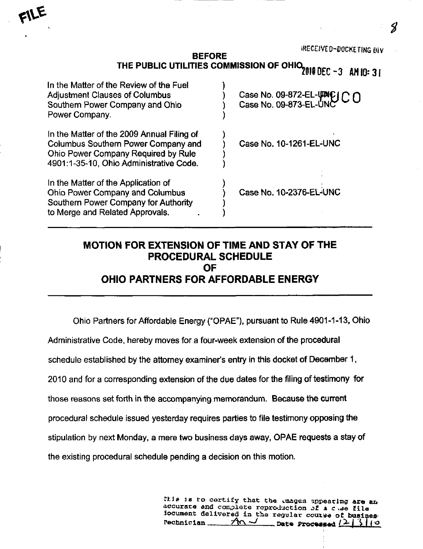| In the Matter of the Review of the Fuel<br><b>Adjustment Clauses of Columbus</b><br>Southern Power Company and Ohio<br>Power Company.                               | Case No. 09-872-EL-VINC CO<br>Case No. 09-873-EL-UNC |
|---------------------------------------------------------------------------------------------------------------------------------------------------------------------|------------------------------------------------------|
| In the Matter of the 2009 Annual Filing of<br>Columbus Southern Power Company and<br>Ohio Power Company Required by Rule<br>4901:1-35-10, Ohio Administrative Code. | Case No. 10-1261-EL-UNC                              |
| In the Matter of the Application of<br><b>Ohio Power Company and Columbus</b><br>Southern Power Company for Authority<br>to Merge and Related Approvals.            | Case No. 10-2376-EL-UNC                              |

## MOTION FOR EXTENSION OF TIME AND STAY OF THE PROCEDURAL SCHEDULE OF OHIO PARTNERS FOR AFFORDABLE ENERGY

Ohio Partners for Affordable Energy ("OPAE"), pursuant to Rule 4901-1-13, Ohio

Administrative Code, hereby moves for a four-week extension of the procedural

schedule established by the attorney examiner's entry in this docket of December 1,

2010 and for a corresponding extension of the due dates for the filing of testimony for

those reasons set forth in the accompanying memorandum. Because the current

procedural schedule issued yesterday requires parties to file testimony opposing the

stipulation by next Monday, a mere two business days away, OPAE requests a stay of

the existing procedural schedule pending a decision on this motion.

Itis is to certify that the mages appearing are an accurate and complete reproduction of  $a$  c .se file 3ocument delivered in the regular course of busines<br>Pechnician  $\mathcal{M}$   $\mathcal{M}$  bate Processed  $\{2, |3, 1\}$  $\_$  Date Processed  $(2 \mid 3 \mid / \circ )$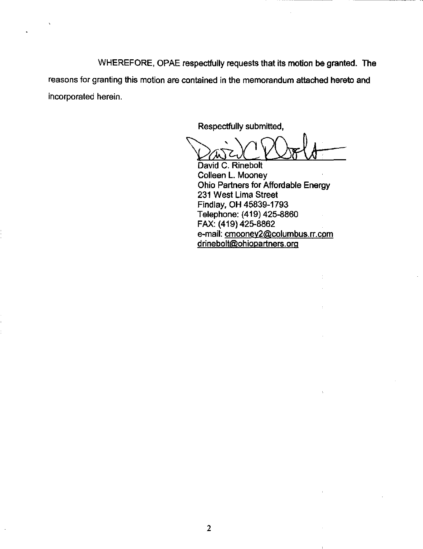WHEREFORE, OPAE respectfully requests that its motion be granted. The reasons for granting this motion are contained in the memorandum attached hereto and incorporated herein.

Respectfully submitted,

David C. Rinebolt Colleen L. Mooney Ohio Partners for Affordable Energy 231 West Lima Street Findlay, OH 45839-1793 Telephone: (419) 425-8860 FAX: (419) 425-8862 e-mail: [cmoonev2@columbus.rr.com](mailto:cmoonev2@columbus.rr.com) drinebolt@ohiopartners.org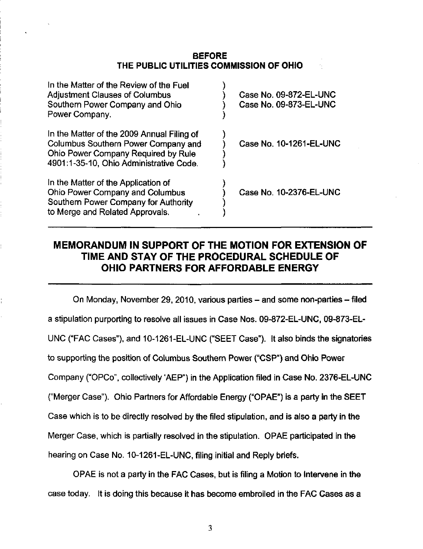## BEFORE THE PUBLIC UTILITIES COMMISSION OF OHIO

| In the Matter of the Review of the Fuel<br><b>Adjustment Clauses of Columbus</b><br>Southern Power Company and Ohio<br>Power Company.                               | Case No. 09-872-EL-UNC<br>Case No. 09-873-EL-UNC |
|---------------------------------------------------------------------------------------------------------------------------------------------------------------------|--------------------------------------------------|
| In the Matter of the 2009 Annual Filing of<br>Columbus Southern Power Company and<br>Ohio Power Company Required by Rule<br>4901:1-35-10, Ohio Administrative Code. | Case No. 10-1261-EL-UNC                          |
| In the Matter of the Application of<br>Ohio Power Company and Columbus<br>Southern Power Company for Authority<br>to Merge and Related Approvals.                   | Case No. 10-2376-EL-UNC                          |

## MEMORANDUM IN SUPPORT OF THE MOTION FOR EXTENSION OF TIME AND STAY OF THE PROCEDURAL SCHEDULE OF OHIO PARTNERS FOR AFFORDABLE ENERGY

On Monday, November 29, 2010, various parties – and some non-parties – filed a stipulation purporting to resolve all issues in Case Nos. 09-872-EL-UNC, 09-873-EL-UNC ("FAC Cases"), and 10-1261-EL-UNC ("SEET Case"). It also binds the signatories to supporting the position of Columbus Southern Power ("CSP") and Ohio Power Company ("OPCo". collectively \*AEP") in the Application filed in Case No. 2376-EL-UNC ("Merger Case"). Ohio Partners for Affordable Energy ("OPAE") is a party in the SEET Case which is to be directly resolved by the filed stipulation, and is also a party in the Merger Case, which is partially resolved in the stipulation. OPAE participated in the hearing on Case No. 10-1261-EL-UNC, filing initial and Reply briefs.

OPAE is not a party in the FAC Cases, but is filing a Motion to Intervene in the case today. It is doing this because it has become embroiled in the FAC Gases as a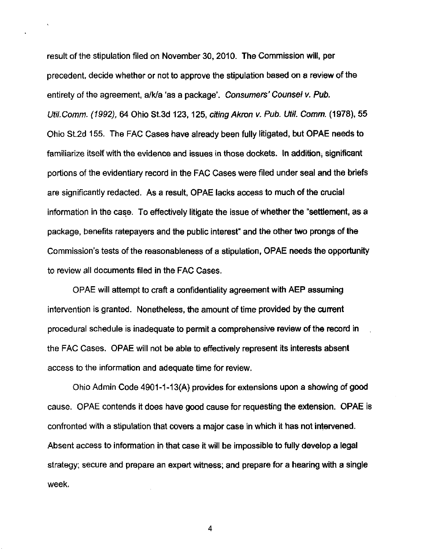result of the stipulation filed on November 30, 2010. The Commission will, per precedent, decide whether or not to approve the stipulation based on a review of the entirety of the agreement, a/k/a 'as a package'. Consumers' Counsel v. Pub. Util.Comm. (1992), 64 Ohio St.3d 123, 125, citing Akron v. Pub. Util. Comm. (1978), 55 Ohio St.2d 155. The FAC Cases have already been fully litigated, but OPAE needs to familiarize itself with the evidence and issues in those dockets. In addition, significant portions of the evidentiary record in the FAC Cases were filed under seal and the briefs are significantly redacted. As a result, OPAE lacks access to much of the crucial information in the case. To effectively litigate the issue of whether the "settlement, as a package, benefits ratepayers and the public interest" and the other two prongs of the Commission's tests of the reasonableness of a stipulation, OPAE needs the opportunity to review all documents filed in the FAC Cases.

OPAE will attempt to craft a confidentiality agreement with AEP assuming intervention is granted. Nonetheless, the amount of time provided by the current procedural schedule is inadequate to permit a comprehensive review of the record in the FAC Cases. OPAE will not be able to effectively represent its interests absent access to the information and adequate time for review.

Ohio Admin Code 4901-1-13(A) provides for extensions upon a showing of good cause. OPAE contends it does have good cause for requesting the extension. OPAE is confronted with a stipulation that covers a major case in which it has not intervened. Absent access to information in that case it will be impossible to fully develop a legal strategy; secure and prepare an expert witness; and prepare for a hearing with a single week.

4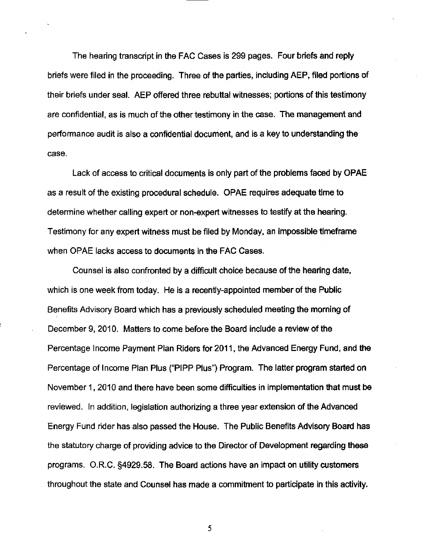The hearing transcript in the FAC Cases is 299 pages. Four briefs and reply briefs were filed in the proceeding. Three of the parties, including AEP, filed portions of their briefs under seal. AEP offered three rebuttal witnesses: portions of this testimony are confidential, as is much of the other testimony in the case. The management and performance audit is also a confidential document, and is a key to understanding the case.

Lack of access to critical documents is only part of the problems faced by OPAE as a result of the existing procedural schedule. OPAE requires adequate time to determine whether calling expert or non-expert witnesses to testify at the hearing. Testimony for any expert witness must be filed by Monday, an impossible timeframe when OPAE lacks access to documents in the FAC Cases.

Counsel is also confronted by a difficult choice because of the hearihg date, which is one week from today. He is a recently-appointed member of the Public Benefits Advisory Board which has a previously scheduled meeting the morning of December 9, 2010. Matters to come before the Board include a review of the Percentage Income Payment Plan Riders for 2011, the Advanced Energy Fund, and the Percentage of Income Plan Plus ("PIPP Plus") Program. The latter program started on November 1, 2010 and there have been some difficulties in implementation that must be reviewed. In addition, legislation authorizing a three year extension of the Advanced Energy Fund rider has also passed the House. The Public Benefits Advisory Board has the statutory charge of providing advice to the Director of Development regarding these programs. O.R.C. §4929.58. The Board actions have an impact on utility customers throughout the state and Counsel has made a commitment to participate in this activity.

5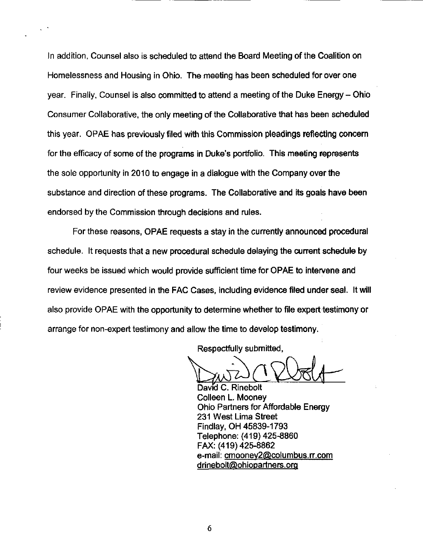In addition, Counsel also is scheduled to attend the Board Meeting of the Coalition on Homelessness and Housing in Ohio. The meeting has been scheduled for over one year. Finally. Counsel is also committed to attend a meeting of the Duke Energy- Ohio Consumer Collaborative, the only meeting of the Collaborative that has been scheduled this year. OPAE has previously filed with this Commission pleadings reflecting concern for the efficacy of some of the programs in Duke's portfolio. This meeting represents the sole opportunity in 2010 to engage in a dialogue with the Company over the substance and direction of these programs. The Collaborative and its goals have been endorsed by the Commission through decisions and rules.

For these reasons, OPAE requests a stay in the currently announced procedural schedule. It requests that a new procedural schedule delaying the current schedule by four weeks be issued which would provide sufficient time for OPAE to intervene and review evidence presented in the FAC Cases, including evidence filed under seal. It will also provide OPAE with the opportunity to determine whether to file expert testimony or arrange for non-expert testimony and allow the time to develop testimony.

Respectfully submitted,

David C. Rinebolt Colleen L. Mooney Ohio Partners for Affordable Energy 231 West Lima Street Findlay. OH 45839-1793 Telephone: (419) 425-8860 FAX: (419)425-8862 e-mail: [cmoonev2@columbus.rr.com](mailto:cmoonev2@columbus.rr.com) drinebolt@ohiopartners.org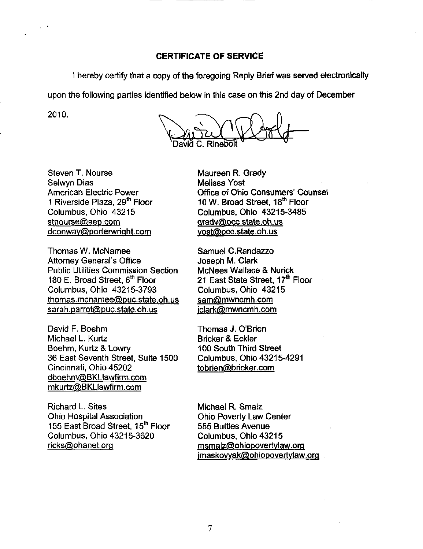I hereby certify that a copy of the foregoing Reply Brief was served electronically

upon the following parties identified below in this case on this 2nd day of December

2010.

Steven T. Nourse Selwyn Dias American Electric Power 1 Riverside Plaza, 29<sup>th</sup> Floor Columbus, Ohio 43215 [stnourse@aep.com](mailto:stnourse@aep.com) dconway@porterwright.com

Thomas W. McNamee Attorney General's Office Public Utilities Commission Section 180 E. Broad Street,  $6<sup>th</sup>$  Floor Columbus. Ohio 43215-3793 [thomas.mcnamee@puc.state.oh.us](mailto:thomas.mcnamee@puc.state.oh.us)  [sarah.parrot@puc.state.oh.us](mailto:sarah.parrot@puc.state.oh.us) 

David F. Boehm Michael L. Kurtz Boehm, Kurtz & Lowry 36 East Seventh Street, Suite 1500 Cincinnati, Ohio 45202 [dboehm@BKLlawfirm.com](mailto:dboehm@BKLlawfirm.com)  [mkurtz@BKLIawfirm.com](mailto:mkurtz@BKLIawfirm.com) 

Richard L. Sites Ohio Hospital Association 155 East Broad Street, 15<sup>m</sup> Floor Columbus, Ohio 43215-3620 [ricks@ohanet.orq](mailto:ricks@ohanet.orq)

Maureen R. Grady Melissa Yost Office of Ohio Consumers' Counsel 10 W. Broad Street, 18<sup>th</sup> Floor Columbus, Ohio 43215-3485 qradv@occ.state .oh. us [vost@occ.state.oh.us](mailto:vost@occ.state.oh.us) 

Samuel C. Randazzo Joseph M. Clark McNees Wallace & Nurick 21 East State Street, 17<sup>th</sup> Floor Columbus, Ohio 43215 [sam@mwncmh.com](mailto:sam@mwncmh.com) [iclark@mwncmh.com](mailto:iclark@mwncmh.com) 

Thomas J. O'Brien Bricker & Eckler 100 South Third Street Columbus, Ohio 43215-4291 [tobrien@bricker.com](mailto:tobrien@bricker.com) 

Michael R. Smalz Ohio Poverty Law Center 555 Buttles Avenue Columbus. Ohio 43215 [msmalz@ohiopovertvlaw.orq](mailto:msmalz@ohiopovertvlaw.orq)  [imaskowak@ohiopovertvlaw.orq](mailto:imaskowak@ohiopovertvlaw.orq)